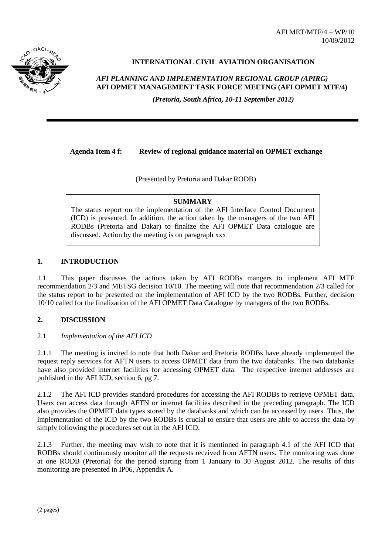AFI MET/MTF/4 – WP/10 10/09/2012



# **INTERNATIONAL CIVIL AVIATION ORGANISATION**

*AFI PLANNING AND IMPLEMENTATION REGIONAL GROUP (APIRG)* **AFI OPMET MANAGEMENT TASK FORCE MEETNG (AFI OPMET MTF/4)** 

*(Pretoria, South Africa, 10-11 September 2012)*

**Agenda Item 4 f: Review of regional guidance material on OPMET exchange**

(Presented by Pretoria and Dakar RODB)

#### **SUMMARY**

The status report on the implementation of the AFI Interface Control Document (ICD) is presented. In addition, the action taken by the managers of the two AFI RODBs (Pretoria and Dakar) to finalize the AFI OPMET Data catalogue are discussed. Action by the meeting is on paragraph xxx

## **1. INTRODUCTION**

1.1 This paper discusses the actions taken by AFI RODBs mangers to implement AFI MTF recommendation 2/3 and METSG decision 10/10. The meeting will note that recommendation 2/3 called for the status report to be presented on the implementation of AFI ICD by the two RODBs. Further, decision 10/10 called for the finalization of the AFI OPMET Data Catalogue by managers of the two RODBs.

#### **2. DISCUSSION**

#### 2.1 *Implementation of the AFI ICD*

2.1.1 The meeting is invited to note that both Dakar and Pretoria RODBs have already implemented the request reply services for AFTN users to access OPMET data from the two databanks. The two databanks have also provided internet facilities for accessing OPMET data. The respective internet addresses are published in the AFI ICD, section 6, pg 7.

2.1.2 The AFI ICD provides standard procedures for accessing the AFI RODBs to retrieve OPMET data. Users can access data through AFTN or internet facilities described in the preceding paragraph. The ICD also provides the OPMET data types stored by the databanks and which can be accessed by users. Thus, the implementation of the ICD by the two RODBs is crucial to ensure that users are able to access the data by simply following the procedures set out in the AFI ICD.

2.1.3 Further, the meeting may wish to note that it is mentioned in paragraph 4.1 of the AFI ICD that RODBs should continuously monitor all the requests received from AFTN users. The monitoring was done at one RODB (Pretoria) for the period starting from 1 January to 30 August 2012. The results of this monitoring are presented in IP06, Appendix A.